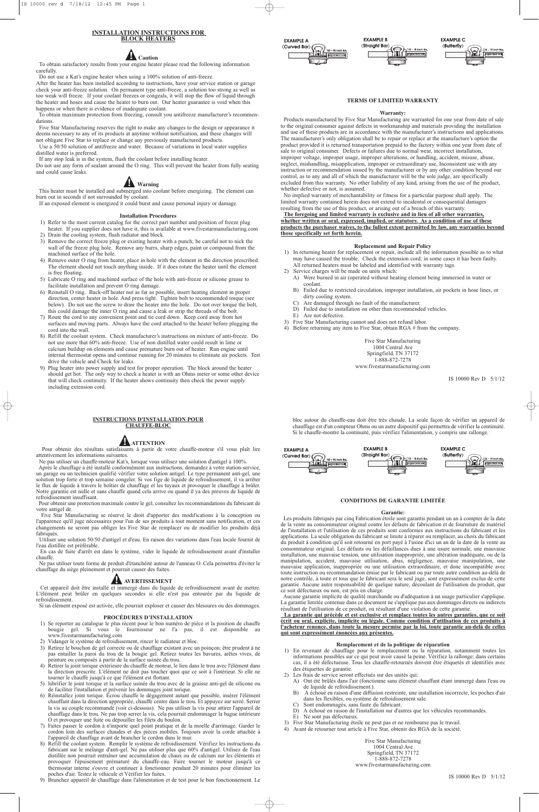## **INSTALLATION INSTRUCTIONS FOR BLOCK HEATERS**

# **AL** Caution

To obtain satisfactory results from your engine heater please read the following information carefully.

Do not use a Kat's engine heater when using a 100% solution of anti-freeze.

After the heater has been installed according to instructions, have your service station or garage check your anti-freeze solution. On permanent type anti-freeze, a solution too strong as well as too weak will freeze. If your coolant freezes or congeals, it will stop the flow of liquid through the heater and hoses and cause the heater to burn out. Our heater guarantee is void when this happens or when there is evidence of inadequate coolant.

To obtain maximum protection from freezing, consult you antifreeze manufacturer's recommendations.

Five Star Manufacturing reserves the right to make any changes to the design or appearance it deems necessary to any of its products at anytime without notification, and these changes will not obligate Five Star to replace or change any previously manufactured products.

Use a 50/50 solution of antifreeze and water. Because of variations in local water supplies distilled water is preferred.

If any stop leak is in the system, flush the coolant before installing heater.

Do not use any form of sealant around the O ring. This will prevent the heater from fully seating and could cause leaks.

# **Warning**

This heater must be installed and submerged into coolant before energizing. The element can burn out in seconds if not surrounded by coolant.

If an exposed element is energized it could burst and cause personal injury or damage.

#### **Installation Procedures**

- 1) Refer to the most current catalog for the correct part number and position of freeze plug heater. If you supplier does not have it, this is available at www.fivestarmanufacturing.com
- 2) Drain the cooling system, flush radiator and block.
- 3) Remove the correct freeze plug or existing heater with a punch; be careful not to nick the wall of the freeze plug hole. Remove any burrs, sharp edges, paint or compound from the machined surface of the hole.
- 4) Remove outer O ring from heater, place in hole with the element in the direction prescribed. The element should not touch anything inside. If it does rotate the heater until the element is free floating.
- 5) Lubricate O ring and machined surface of the hole with anti-freeze or silicone grease to facilitate installation and prevent O ring damage.
- 6) Reinstall O ring. Back-off heater nut as far as possible, insert heating element in proper direction, center heater in hole. And press tight. Tighten bolt to recommended torque (see below). Do not use the screw to draw the heater into the hole. Do not over torque the bolt, this could damage the inner O ring and cause a leak or strip the threads of the bolt.
- 7) Route the cord to any convenient point and tie cord down. Keep cord away from hot surfaces and moving parts. Always have the cord attached to the heater before plugging the cord into the wall.
- 8) Refill the coolant system. Check manufacturer's instructions on mixture of anti-freeze. Do not use more that 60% anti-freeze. Use of non distilled water could result in lime or calcium buildup on elements and cause premature burn out of heater. Run engine until internal thermostat opens and continue running for 20 minutes to eliminate air pockets. Test drive the vehicle and Check for leaks.
- 9) Plug heater into power supply and test for proper operation. The block around the heater should get hot. The only way to check a heater is with an Ohms meter or some other device that will check continuity. If the heater shows continuity then check the power supply including extension cord.

Five Star Manufacturing se réserve le droit d'apporter des modifications à la conception ou l'apparence qu'il juge nécessaires pour l'un de ses produits à tout moment sans notification, et ces changements ne seront pas obliger les Five Star de remplacer ou de modifier les produits déjà fabriqués.

### **TERMS OF LIMITED WARRANTY**

#### **Warranty:**

Products manufactured by Five Star Manufacturing are warranted for one year from date of sale to the original consumer against defects in workmanship and materials providing the installation and use of these products are in accordance with the manufacturer's instructions and applications. The manufacturer's only obligation shall be to repair or replace at the manufacture's option the product provided it is returned transportation prepaid to the factory within one year from date of sale to original consumer. Defects or failures due to normal wear, incorrect installation, improper voltage, improper usage, improper alterations, or handling, accident, misuse, abuse, neglect, mishandling, misapplication, improper or extraordinary use, Inconsistent use with any instruction or recommendation issued by the manufacturer or by any other condition beyond our control, as to any and all of which the manufacturer will be the sole judge, are specifically excluded from this warranty. No other liability of any kind, arising from the use of the product, whether defective or not, is assumed.

No implied warranty of merchantability or fitness for a particular purpose shall apply. The limited warranty contained herein does not extend to incidental or consequential damages resulting from the use of this product, or arising out of a breach of this warranty.

**The foregoing and limited warranty is exclusive and in lieu of all other warranties, whether written or oral, expressed, implied, or statutory. As a condition of use of these products the purchaser waives, to the fullest extent permitted by law, any warranties beyond those specifically set forth herein.**

## **Replacement and Repair Policy**

- 1) In returning heater for replacement or repair, include all the information possible as to what may have caused the trouble. Check the extension cord; in some cases it has been faulty. All returned heaters must be labeled and identified with warranty tags.
- 2) Service charges will be made on units which:
	- A) Were burned in air (operated without heating element being immersed in water or coolant.
	- B) Failed due to restricted circulation, improper installation, air pockets in hose lines, or dirty cooling system.
	- C) Are damaged through no fault of the manufacturer.
	- D) Failed due to installation on other than recommended vehicles.
	- E) Are not defective.
	- Five Star Manufacturing cannot and does not refund labor.
- 4) Before returning any item to Five Star, obtain RGA # from the company.

Five Star Manufacturing 1004 Central Ave Springfield, TN 37172 1-888-872-7278 www.fivestarmanufacturing.com

IS 10000 Rev D 5/1/12

#### **INSTRUCTIONS D'INSTALLATION POUR CHAUFFE-BLOC**

# **AN ATTENTION**

Pour obtenir des résultats satisfaisants à partir de votre chauffe-moteur s'il vous plaît lire attentivement les informations suivantes.

Ne pas utiliser un chauffe-moteur Kat's, lorsque vous utilisez une solution d'antigel à 100%.

Après le chauffage a été installé conformément aux instructions, demandez à votre station-service, un garage ou un technicien qualifié vérifier votre solution antigel. Le type permanent anti-gel, une solution trop forte et trop semaine congeler. Si vos fige de liquide de refroidissement, il va arrêter le flux de liquide à travers le boîtier de chauffage et les tuyaux et provoquer le chauffage à brûler. Notre garantie est nulle et sans chauffe quand cela arrive ou quand il ya des preuves de liquide de refroidissement insuffisant.

Pour obtenir une protection maximale contre le gel, consultez les recommandations du fabricant de votre antigel de.

Utiliser une solution 50/50 d'antigel et d'eau. En raison des variations dans l'eau locale fournit de l'eau distillée est préférable.

En cas de fuite d'arrêt est dans le système, vider le liquide de refroidissement avant d'installer chauffe.

Ne pas utiliser toute forme de produit d'étanchéité autour de l'anneau O. Cela permettra d'éviter le



chauffage du siège pleinement et pourrait causer des fuites.

## **AVERTISSEMENT**

Cet appareil doit être installé et immergé dans du liquide de refroidissement avant de mettre. L'élément peut brûler en quelques secondes si elle n'est pas entourée par du liquide de refroidissement.

Si un élément exposé est activée, elle pourrait exploser et causer des blessures ou des dommages.

## **PROCÉDURES D'INSTALLATION**

- 1) Se reporter au catalogue le plus récent pour le bon numéro de pièce et la position de chauffe bougie gel. Si vous le fournisseur ne l'a pas, il est disponible au www.fivestarmanufacturing.com
- 2) Vidanger le système de refroidissement, rincer le radiateur et bloc.
- 3) Retirez le bouchon de gel correcte ou de chauffage existant avec un poinçon; être prudent à ne pas entailler la paroi du trou de la bougie gel. Retirez toutes les bavures, arêtes vives, de peinture ou composés à partir de la surface usinée du trou.
- 4) Retirer la joint torique extérieure du chauffe de moteur, le lieu dans le trou avec l'élément dans la direction prescrite. L'élément ne doit pas toucher quoi que ce soit à l'intérieur. Si elle ne tourner le chauffe jusqu'à ce que l'élément est flottant.
- 5) lubrifier le joint torique et la surface usinée du trou avec de la graisse anti-gel de silicone ou de faciliter l'installation et prévenir les dommages joint torique.
- 6) Réinstallez joint torique. Écrou chauffe le dégagement autant que possible, insérer l'élément chauffant dans la direction appropriée, chauffe centre dans le trou. Et appuyez sur serré. Serrer la vis au couple recommandé (voir ci-dessous). Ne pas utiliser la vis pour attirer l'appareil de chauffage dans le trou. Ne pas trop serrer la vis, cela pourrait endommager la bague intérieure O et provoquer une fuite ou dépouiller les filets du boulon.
- 7) Faites passer le cordon à n'importe quel point pratique et de la moelle d'arrimage. Garder le cordon loin des surfaces chaudes et des pièces mobiles. Toujours avoir la corde attachée à l'appareil de chauffage avant de brancher le cordon dans le mur.
- 8) Refill the coolant system. Remplir le système de refroidissement. Vérifiez les instructions du fabricant sur le mélange d'anti-gel. Ne pas utiliser plus que 60% d'antigel. Utilisez de l'eau distillée non pourrait entraîner une accumulation de chaux ou de calcium sur les éléments et provoquer l'épuisement prématuré du chauffe-eau. Faire tourner le moteur jusqu'à ce thermostat interne s'ouvre et continuer à fonctionner pendant 20 minutes pour éliminer les poches d'air. Testez le véhicule et Vérifier les fuites.
- 9) Branchez appareil de chauffage dans l'alimentation et de test pour le bon fonctionnement. Le

#### **CONDITIONS DE GARANTIE LIMITÉE**

#### **Garantie:**

Les produits fabriqués par cinq Fabrication étoile sont garantis pendant un an à compter de la date de la vente au consommateur original contre les défauts de fabrication et de fourniture de matériel de l'installation et l'utilisation de ces produits sont conformes aux instructions du fabricant et les applications. La seule obligation du fabricant se limite à réparer ou remplacer, au choix du fabricant du produit à condition qu'il soit retourné en port payé à l'usine d'ici un an de la date de la vente au consommateur original. Les défauts ou les défaillances dues à une usure normale, une mauvaise installation, une mauvaise tension, une utilisation inappropriée, une altération inadéquate, ou de la manipulation, accident, mauvaise utilisation, abus, négligence, mauvaise manipulation, une mauvaise application, inappropriée ou une utilisation extraordinaire, et donc incompatible avec toute instruction ou recommandation émise par le fabricant ou par toute autre condition au-delà de notre contrôle, à toute et tous que le fabricant sera le seul juge, sont expressément exclus de cette garantie. Aucune autre responsabilité de quelque nature, découlant de l'utilisation du produit, que ce soit défectueux ou non, est pris en charge. Aucune garantie implicite de qualité marchande ou d'adéquation à un usage particulier s'applique. La garantie limitée contenue dans ce document ne s'applique pas aux dommages directs ou indirects résultant de l'utilisation de ce produit, ou résultant d'une violation de cette garantie. **La garantie qui précède et est exclusive et remplace toutes les autres garanties, que ce soit écrit ou oral, explicite, implicite ou légale. Comme condition d'utilisation de ces produits à l'acheteur renonce, dans toute la mesure permise par la loi, toute garantie au-delà de celles qui sont expressément énoncées aux présentes.**

## **Remplacement et de la politique de réparation**

- 1) En revenant de chauffage pour le remplacement ou la réparation, notamment toutes les informations possibles sur ce qui peut avoir causé la peine. Vérifiez la rallonge; dans certains cas, il a été défectueuse. Tous les chauffe-retournés doivent être étiquetés et identifiés avec des étiquettes de garantie.
- 2) Les frais de service seront effectués sur des unités qui:
	- A) Ont été brûlés dans l'air (fonctionne sans élément chauffant étant immergé dans l'eau ou de liquide de refroidissement.).
	- B) A échoué en raison d'une diffusion restreinte, une installation incorrecte, les poches d'air dans les flexibles, ou système de refroidissement sale.
	- C) Sont endommagés, sans faute du fabricant.
	- D) A échoué en raison de l'installation sur d'autres que les véhicules recommandés.
	- E) Ne sont pas défectueux.
- 3) Five Star Manufacturing étoile ne peut pas et ne rembourse pas le travail.
- 4) Avant de retourner tout article à Five Star, obtenir des RGA de la société.

Five Star Manufacturing 1004 Central Ave Springfield, TN 37172 1-888-872-7278 www.fivestarmanufacturing.com

IS 10000 Rev D 5/1/12

bloc autour du chauffe-eau doit être très chaude. La seule façon de vérifier un appareil de chauffage est d'un compteur Ohms ou un autre dispositif qui permettra de vérifier la continuité. Si le chauffe-montre la continuité, puis vérifiez l'alimentation, y compris une rallonge.